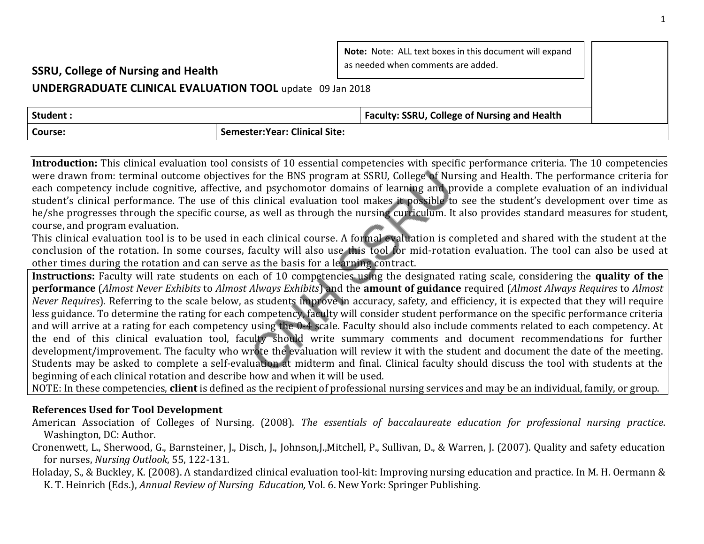| Note: Note: ALL text boxes in this document will expand<br>as needed when comments are added.<br><b>SSRU, College of Nursing and Health</b> |                                       |                                                     |  |  |
|---------------------------------------------------------------------------------------------------------------------------------------------|---------------------------------------|-----------------------------------------------------|--|--|
| UNDERGRADUATE CLINICAL EVALUATION TOOL update 09 Jan 2018                                                                                   |                                       |                                                     |  |  |
| Student:                                                                                                                                    |                                       | <b>Faculty: SSRU, College of Nursing and Health</b> |  |  |
| <b>Course:</b>                                                                                                                              | <b>Semester: Year: Clinical Site:</b> |                                                     |  |  |

**Introduction:** This clinical evaluation tool consists of 10 essential competencies with specific performance criteria. The 10 competencies were drawn from: terminal outcome objectives for the BNS program at SSRU, College of Nursing and Health. The performance criteria for each competency include cognitive, affective, and psychomotor domains of learning and provide a complete evaluation of an individual student's clinical performance. The use of this clinical evaluation tool makes it possible to see the student's development over time as he/she progresses through the specific course, as well as through the nursing curriculum. It also provides standard measures for student, course, and program evaluation.

This clinical evaluation tool is to be used in each clinical course. A formal evaluation is completed and shared with the student at the conclusion of the rotation. In some courses, faculty will also use this tool for mid-rotation evaluation. The tool can also be used at other times during the rotation and can serve as the basis for a learning contract.

**Instructions:** Faculty will rate students on each of 10 competencies using the designated rating scale, considering the **quality of the performance** (*Almost Never Exhibits* to *Almost Always Exhibits*) and the **amount of guidance** required (*Almost Always Requires* to *Almost Never Requires*). Referring to the scale below, as students improve in accuracy, safety, and efficiency, it is expected that they will require less guidance. To determine the rating for each competency, faculty will consider student performance on the specific performance criteria and will arrive at a rating for each competency using the 0-4 scale. Faculty should also include comments related to each competency. At the end of this clinical evaluation tool, faculty should write summary comments and document recommendations for further development/improvement. The faculty who wrote the evaluation will review it with the student and document the date of the meeting. Students may be asked to complete a self-evaluation at midterm and final. Clinical faculty should discuss the tool with students at the beginning of each clinical rotation and describe how and when it will be used.

NOTE: In these competencies, **client** is defined as the recipient of professional nursing services and may be an individual, family, or group.

## **References Used for Tool Development**

- American Association of Colleges of Nursing. (2008). *The essentials of baccalaureate education for professional nursing practice*. Washington, DC: Author.
- Cronenwett, L., Sherwood, G., Barnsteiner, J., Disch, J., Johnson,J.,Mitchell, P., Sullivan, D., & Warren, J. (2007). Quality and safety education for nurses, *Nursing Outlook*, 55, 122-131.
- Holaday, S., & Buckley, K. (2008). A standardized clinical evaluation tool-kit: Improving nursing education and practice. In M. H. Oermann & K. T. Heinrich (Eds.), *Annual Review of Nursing Education,* Vol. 6. New York: Springer Publishing.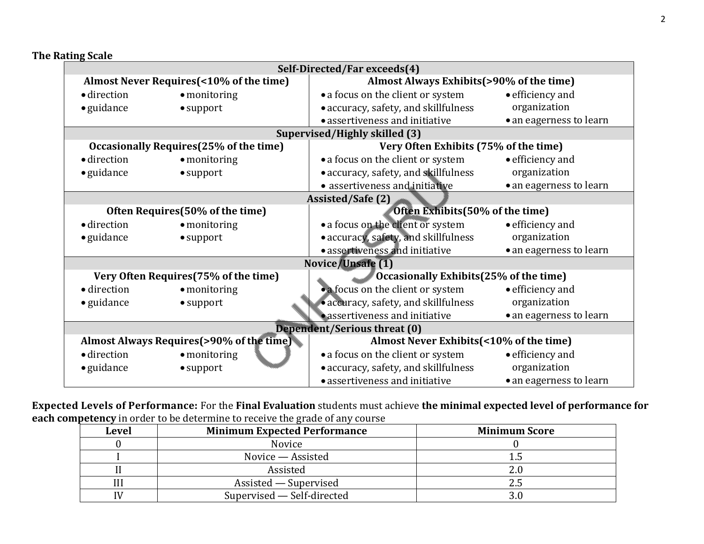**The Rating Scale**

| Self-Directed/Far exceeds(4)                                                     |                                           |                                           |                         |
|----------------------------------------------------------------------------------|-------------------------------------------|-------------------------------------------|-------------------------|
| Almost Never Requires (<10% of the time)                                         |                                           | Almost Always Exhibits (>90% of the time) |                         |
| · direction                                                                      | $\bullet$ monitoring                      | • a focus on the client or system         | • efficiency and        |
| $\bullet$ guidance                                                               | $\bullet$ support                         | • accuracy, safety, and skillfulness      | organization            |
|                                                                                  |                                           | • assertiveness and initiative            | • an eagerness to learn |
|                                                                                  |                                           | Supervised/Highly skilled (3)             |                         |
| Occasionally Requires (25% of the time)<br>Very Often Exhibits (75% of the time) |                                           |                                           |                         |
| · direction                                                                      | $\bullet$ monitoring                      | • a focus on the client or system         | • efficiency and        |
| $\bullet$ guidance                                                               | $\bullet$ support                         | • accuracy, safety, and skillfulness      | organization            |
|                                                                                  |                                           | • assertiveness and initiative            | • an eagerness to learn |
| <b>Assisted/Safe (2)</b>                                                         |                                           |                                           |                         |
|                                                                                  | Often Requires (50% of the time)          | Often Exhibits (50% of the time)          |                         |
| · direction                                                                      | $\bullet$ monitoring                      | • a focus on the client or system         | • efficiency and        |
| • guidance                                                                       | $\bullet$ support                         | • accuracy, safety, and skillfulness      | organization            |
|                                                                                  |                                           | · assertiveness and initiative            | • an eagerness to learn |
|                                                                                  |                                           | Novice/Unsafe (1)                         |                         |
|                                                                                  | Very Often Requires (75% of the time)     | Occasionally Exhibits (25% of the time)   |                         |
| · direction                                                                      | $\bullet$ monitoring                      | • a focus on the client or system         | • efficiency and        |
| • guidance                                                                       | • support                                 | • accuracy, safety, and skillfulness      | organization            |
|                                                                                  |                                           | · assertiveness and initiative            | • an eagerness to learn |
|                                                                                  |                                           | <b>Dependent/Serious threat (0)</b>       |                         |
|                                                                                  | Almost Always Requires (>90% of the time) | Almost Never Exhibits (<10% of the time)  |                         |
| · direction                                                                      | · monitoring                              | • a focus on the client or system         | • efficiency and        |
| $\bullet$ guidance                                                               | $\bullet$ support                         | • accuracy, safety, and skillfulness      | organization            |
|                                                                                  |                                           | · assertiveness and initiative            | • an eagerness to learn |

**Expected Levels of Performance:** For the **Final Evaluation** students must achieve **the minimal expected level of performance for each competency** in order to be determine to receive the grade of any course

| Level | <b>Minimum Expected Performance</b> | <b>Minimum Score</b> |
|-------|-------------------------------------|----------------------|
|       | Novice                              |                      |
|       | Novice - Assisted                   |                      |
|       | Assisted                            |                      |
|       | Assisted — Supervised               |                      |
|       | Supervised - Self-directed          |                      |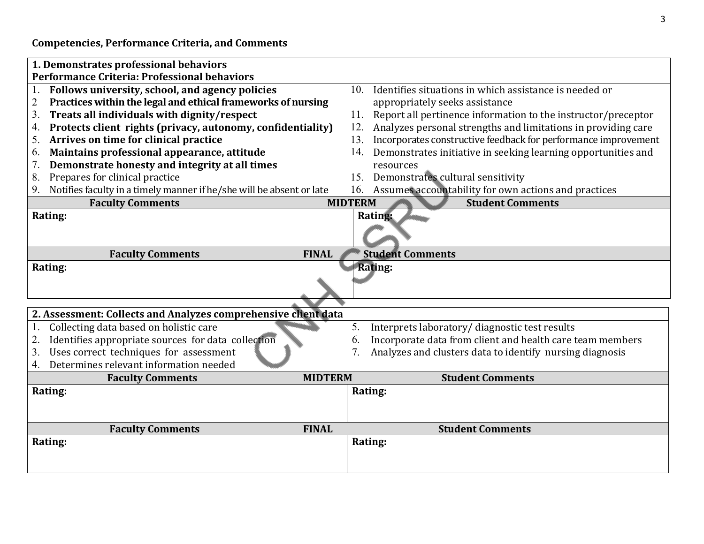**Competencies, Performance Criteria, and Comments**

| 1. Demonstrates professional behaviors                                     |                                                                       |
|----------------------------------------------------------------------------|-----------------------------------------------------------------------|
| Performance Criteria: Professional behaviors                               |                                                                       |
| Follows university, school, and agency policies<br>1.                      | Identifies situations in which assistance is needed or<br>10.         |
| Practices within the legal and ethical frameworks of nursing<br>2          | appropriately seeks assistance                                        |
| 3.<br>Treats all individuals with dignity/respect                          | Report all pertinence information to the instructor/preceptor<br>11.  |
| Protects client rights (privacy, autonomy, confidentiality)<br>4.          | Analyzes personal strengths and limitations in providing care<br>12.  |
| Arrives on time for clinical practice<br>5.                                | Incorporates constructive feedback for performance improvement<br>13. |
| Maintains professional appearance, attitude<br>6.                          | Demonstrates initiative in seeking learning opportunities and<br>14.  |
| Demonstrate honesty and integrity at all times<br>7.                       | resources                                                             |
| 8.<br>Prepares for clinical practice                                       | Demonstrates cultural sensitivity<br>15.                              |
| Notifies faculty in a timely manner if he/she will be absent or late<br>9. | Assumes accountability for own actions and practices<br>16.           |
| <b>Faculty Comments</b>                                                    | <b>Student Comments</b><br><b>MIDTERM</b>                             |
| Rating:                                                                    | Rating:                                                               |
|                                                                            |                                                                       |
|                                                                            |                                                                       |
| <b>Faculty Comments</b><br><b>FINAL</b>                                    | <b>Student Comments</b>                                               |
| Rating:                                                                    | <b>Rating:</b>                                                        |
|                                                                            |                                                                       |
|                                                                            |                                                                       |
|                                                                            |                                                                       |
| 2. Assessment: Collects and Analyzes comprehensive client data             |                                                                       |
| Collecting data based on holistic care<br>1.                               | Interprets laboratory/diagnostic test results<br>5.                   |
| 2.<br>Identifies appropriate sources for data collection                   | Incorporate data from client and health care team members<br>6.       |
| Uses correct techniques for assessment<br>3.                               | Analyzes and clusters data to identify nursing diagnosis<br>7.        |
| Determines relevant information needed<br>4.                               |                                                                       |
| <b>Faculty Comments</b>                                                    | <b>Student Comments</b><br><b>MIDTERM</b>                             |
| Rating:                                                                    | Rating:                                                               |
|                                                                            |                                                                       |
|                                                                            |                                                                       |
| <b>Faculty Comments</b><br><b>FINAL</b>                                    | <b>Student Comments</b>                                               |
| Rating:                                                                    | Rating:                                                               |
|                                                                            |                                                                       |
|                                                                            |                                                                       |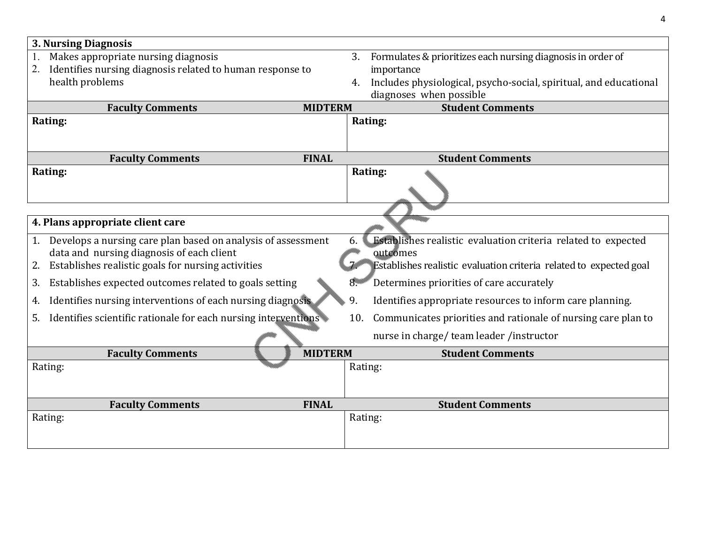| <b>3. Nursing Diagnosis</b>                                          |                |                                                                      |
|----------------------------------------------------------------------|----------------|----------------------------------------------------------------------|
| Makes appropriate nursing diagnosis                                  |                | Formulates & prioritizes each nursing diagnosis in order of<br>3.    |
| Identifies nursing diagnosis related to human response to<br>2.      |                | importance                                                           |
| health problems                                                      |                | 4. Includes physiological, psycho-social, spiritual, and educational |
|                                                                      |                | diagnoses when possible                                              |
| <b>Faculty Comments</b>                                              | <b>MIDTERM</b> | <b>Student Comments</b>                                              |
| Rating:                                                              |                | Rating:                                                              |
|                                                                      |                |                                                                      |
| <b>Faculty Comments</b>                                              | <b>FINAL</b>   | <b>Student Comments</b>                                              |
| Rating:                                                              |                | Rating:                                                              |
|                                                                      |                |                                                                      |
|                                                                      |                |                                                                      |
| 4. Plans appropriate client care                                     |                |                                                                      |
| Develops a nursing care plan based on analysis of assessment<br>1.   |                | Establishes realistic evaluation criteria related to expected<br>6.  |
| data and nursing diagnosis of each client                            |                | outcomes                                                             |
| Establishes realistic goals for nursing activities                   |                | Establishes realistic evaluation criteria related to expected goal   |
| Establishes expected outcomes related to goals setting<br>3.         |                | Determines priorities of care accurately<br>8.                       |
| Identifies nursing interventions of each nursing diagnosis<br>4.     |                | 9.<br>Identifies appropriate resources to inform care planning.      |
| Identifies scientific rationale for each nursing interventions<br>5. |                | Communicates priorities and rationale of nursing care plan to<br>10. |
|                                                                      |                | nurse in charge/team leader/instructor                               |
| <b>Faculty Comments</b>                                              | <b>MIDTERM</b> | <b>Student Comments</b>                                              |
| Rating:                                                              |                | Rating:                                                              |
|                                                                      |                |                                                                      |
| <b>Faculty Comments</b>                                              | <b>FINAL</b>   | <b>Student Comments</b>                                              |
| Rating:                                                              |                | Rating:                                                              |
|                                                                      |                |                                                                      |
|                                                                      |                |                                                                      |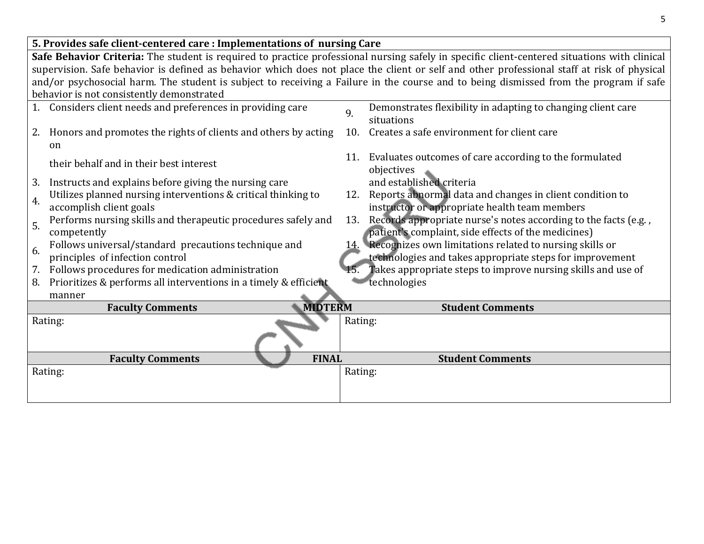| 5. Provides safe client-centered care : Implementations of nursing Care                                                                      |                                                                                                                                       |  |
|----------------------------------------------------------------------------------------------------------------------------------------------|---------------------------------------------------------------------------------------------------------------------------------------|--|
| Safe Behavior Criteria: The student is required to practice professional nursing safely in specific client-centered situations with clinical |                                                                                                                                       |  |
| supervision. Safe behavior is defined as behavior which does not place the client or self and other professional staff at risk of physical   |                                                                                                                                       |  |
|                                                                                                                                              | and/or psychosocial harm. The student is subject to receiving a Failure in the course and to being dismissed from the program if safe |  |
| behavior is not consistently demonstrated                                                                                                    |                                                                                                                                       |  |
| Considers client needs and preferences in providing care                                                                                     | Demonstrates flexibility in adapting to changing client care<br>9.<br>situations                                                      |  |
| Honors and promotes the rights of clients and others by acting<br>2.<br><sub>on</sub>                                                        | Creates a safe environment for client care<br>10.                                                                                     |  |
| their behalf and in their best interest                                                                                                      | 11. Evaluates outcomes of care according to the formulated<br>objectives                                                              |  |
| Instructs and explains before giving the nursing care<br>3.                                                                                  | and established criteria                                                                                                              |  |
| Utilizes planned nursing interventions & critical thinking to<br>4.<br>accomplish client goals                                               | Reports abnormal data and changes in client condition to<br>12.<br>instructor or appropriate health team members                      |  |
| Performs nursing skills and therapeutic procedures safely and<br>5.<br>competently                                                           | Records appropriate nurse's notes according to the facts (e.g.,<br>13.<br>patient's complaint, side effects of the medicines)         |  |
| Follows universal/standard precautions technique and<br>6.<br>principles of infection control                                                | 14. Recognizes own limitations related to nursing skills or<br>technologies and takes appropriate steps for improvement               |  |
| Follows procedures for medication administration<br>7.                                                                                       | Takes appropriate steps to improve nursing skills and use of                                                                          |  |
| Prioritizes & performs all interventions in a timely & efficient<br>8.                                                                       | technologies                                                                                                                          |  |
| manner                                                                                                                                       |                                                                                                                                       |  |
| <b>MIDTERM</b><br><b>Faculty Comments</b>                                                                                                    | <b>Student Comments</b>                                                                                                               |  |
| Rating:                                                                                                                                      | Rating:                                                                                                                               |  |
| <b>Faculty Comments</b><br><b>FINAL</b>                                                                                                      | <b>Student Comments</b>                                                                                                               |  |
| Rating:                                                                                                                                      | Rating:                                                                                                                               |  |
|                                                                                                                                              |                                                                                                                                       |  |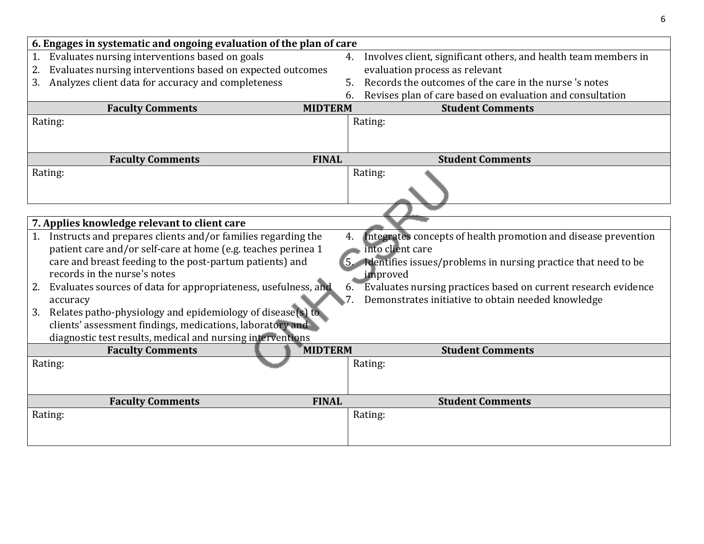| 6. Engages in systematic and ongoing evaluation of the plan of care          |    |                                                                   |
|------------------------------------------------------------------------------|----|-------------------------------------------------------------------|
| Evaluates nursing interventions based on goals                               | 4. | Involves client, significant others, and health team members in   |
| Evaluates nursing interventions based on expected outcomes<br>2.             |    | evaluation process as relevant                                    |
| Analyzes client data for accuracy and completeness<br>3.                     | 5. | Records the outcomes of the care in the nurse 's notes            |
|                                                                              | 6. | Revises plan of care based on evaluation and consultation         |
| <b>MIDTERM</b><br><b>Faculty Comments</b>                                    |    | <b>Student Comments</b>                                           |
| Rating:                                                                      |    | Rating:                                                           |
|                                                                              |    |                                                                   |
| <b>Faculty Comments</b><br><b>FINAL</b>                                      |    | <b>Student Comments</b>                                           |
| Rating:                                                                      |    | Rating:                                                           |
|                                                                              |    |                                                                   |
|                                                                              |    |                                                                   |
|                                                                              |    |                                                                   |
| 7. Applies knowledge relevant to client care                                 |    |                                                                   |
| Instructs and prepares clients and/or families regarding the                 | 4. | Integrates concepts of health promotion and disease prevention    |
| patient care and/or self-care at home (e.g. teaches perinea 1                |    | into client care                                                  |
| care and breast feeding to the post-partum patients) and                     |    | 5. Identifies issues/problems in nursing practice that need to be |
| records in the nurse's notes                                                 |    | improved                                                          |
| Evaluates sources of data for appropriateness, usefulness, and<br>2.         | 6. | Evaluates nursing practices based on current research evidence    |
| accuracy                                                                     |    | Demonstrates initiative to obtain needed knowledge                |
| Relates patho-physiology and epidemiology of disease(s) to<br>3.             |    |                                                                   |
| clients' assessment findings, medications, laboratory and                    |    |                                                                   |
| diagnostic test results, medical and nursing interventions<br><b>MIDTERM</b> |    |                                                                   |
| <b>Faculty Comments</b><br>Rating:                                           |    | <b>Student Comments</b><br>Rating:                                |
|                                                                              |    |                                                                   |
|                                                                              |    |                                                                   |
| <b>Faculty Comments</b><br><b>FINAL</b>                                      |    | <b>Student Comments</b>                                           |
| Rating:                                                                      |    | Rating:                                                           |
|                                                                              |    |                                                                   |
|                                                                              |    |                                                                   |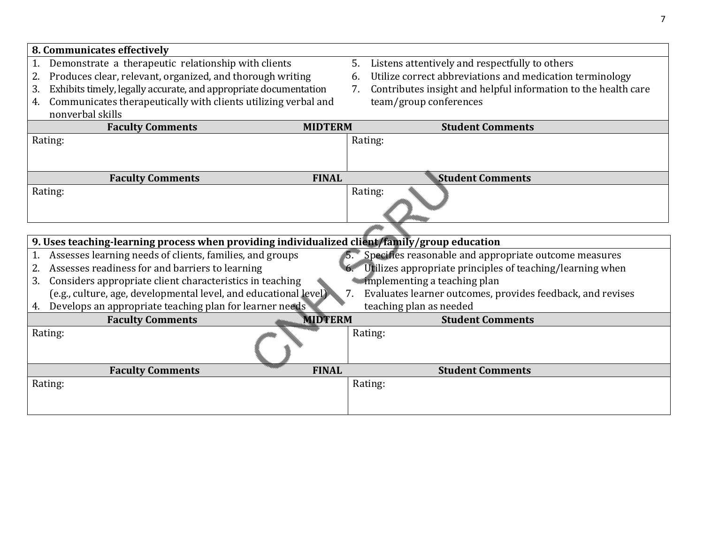| 8. Communicates effectively                                                                   |    |                                                                |
|-----------------------------------------------------------------------------------------------|----|----------------------------------------------------------------|
| Demonstrate a therapeutic relationship with clients<br>1.                                     | 5. | Listens attentively and respectfully to others                 |
| Produces clear, relevant, organized, and thorough writing<br>2.                               | 6. | Utilize correct abbreviations and medication terminology       |
| Exhibits timely, legally accurate, and appropriate documentation<br>3.                        | 7. | Contributes insight and helpful information to the health care |
| Communicates therapeutically with clients utilizing verbal and<br>4.                          |    | team/group conferences                                         |
| nonverbal skills                                                                              |    |                                                                |
| <b>Faculty Comments</b><br><b>MIDTERM</b>                                                     |    | <b>Student Comments</b>                                        |
| Rating:                                                                                       |    | Rating:                                                        |
|                                                                                               |    |                                                                |
|                                                                                               |    |                                                                |
| <b>FINAL</b><br><b>Faculty Comments</b>                                                       |    | <b>Student Comments</b>                                        |
| Rating:                                                                                       |    | Rating:                                                        |
|                                                                                               |    |                                                                |
|                                                                                               |    |                                                                |
|                                                                                               |    |                                                                |
| 9. Uses teaching-learning process when providing individualized client/family/group education |    |                                                                |
| Assesses learning needs of clients, families, and groups                                      |    | Specifies reasonable and appropriate outcome measures          |
| Assesses readiness for and barriers to learning<br>2.                                         |    | Utilizes appropriate principles of teaching/learning when      |
| Considers appropriate client characteristics in teaching<br>3.                                |    | implementing a teaching plan                                   |
| (e.g., culture, age, developmental level, and educational level)                              | 7. | Evaluates learner outcomes, provides feedback, and revises     |
| Develops an appropriate teaching plan for learner needs<br>4.                                 |    | teaching plan as needed                                        |
| <b>MIDTERM</b><br><b>Faculty Comments</b>                                                     |    | <b>Student Comments</b>                                        |
| Rating:                                                                                       |    | Rating:                                                        |
|                                                                                               |    |                                                                |
|                                                                                               |    |                                                                |
| <b>Faculty Comments</b><br><b>FINAL</b>                                                       |    | <b>Student Comments</b>                                        |
| Rating:                                                                                       |    | Rating:                                                        |
|                                                                                               |    |                                                                |
|                                                                                               |    |                                                                |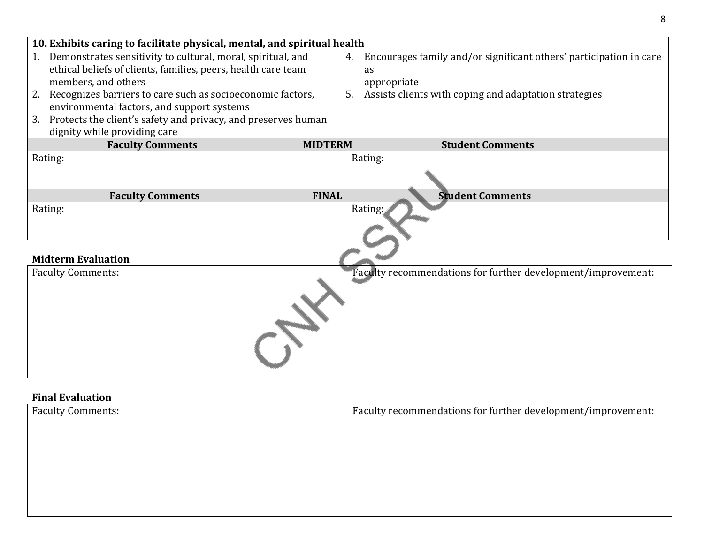| 10. Exhibits caring to facilitate physical, mental, and spiritual health                                                                                                                                                                                                                                                                                                           |                |                                                                                                                                                            |
|------------------------------------------------------------------------------------------------------------------------------------------------------------------------------------------------------------------------------------------------------------------------------------------------------------------------------------------------------------------------------------|----------------|------------------------------------------------------------------------------------------------------------------------------------------------------------|
| Demonstrates sensitivity to cultural, moral, spiritual, and<br>1.<br>ethical beliefs of clients, families, peers, health care team<br>members, and others<br>Recognizes barriers to care such as socioeconomic factors,<br>2.<br>environmental factors, and support systems<br>Protects the client's safety and privacy, and preserves human<br>3.<br>dignity while providing care | 4.             | Encourages family and/or significant others' participation in care<br><b>as</b><br>appropriate<br>5. Assists clients with coping and adaptation strategies |
| <b>Faculty Comments</b>                                                                                                                                                                                                                                                                                                                                                            | <b>MIDTERM</b> | <b>Student Comments</b>                                                                                                                                    |
| Rating:                                                                                                                                                                                                                                                                                                                                                                            |                | Rating:                                                                                                                                                    |
| <b>Faculty Comments</b>                                                                                                                                                                                                                                                                                                                                                            | <b>FINAL</b>   | <b>Student Comments</b>                                                                                                                                    |
| Rating:<br><b>Midterm Evaluation</b>                                                                                                                                                                                                                                                                                                                                               |                | Rating:                                                                                                                                                    |
|                                                                                                                                                                                                                                                                                                                                                                                    |                |                                                                                                                                                            |
| <b>Faculty Comments:</b>                                                                                                                                                                                                                                                                                                                                                           |                | Faculty recommendations for further development/improvement:                                                                                               |

8

## **Final Evaluation**

| THURT Prunderom          |                                                              |  |
|--------------------------|--------------------------------------------------------------|--|
| <b>Faculty Comments:</b> | Faculty recommendations for further development/improvement: |  |
|                          |                                                              |  |
|                          |                                                              |  |
|                          |                                                              |  |
|                          |                                                              |  |
|                          |                                                              |  |
|                          |                                                              |  |
|                          |                                                              |  |
|                          |                                                              |  |